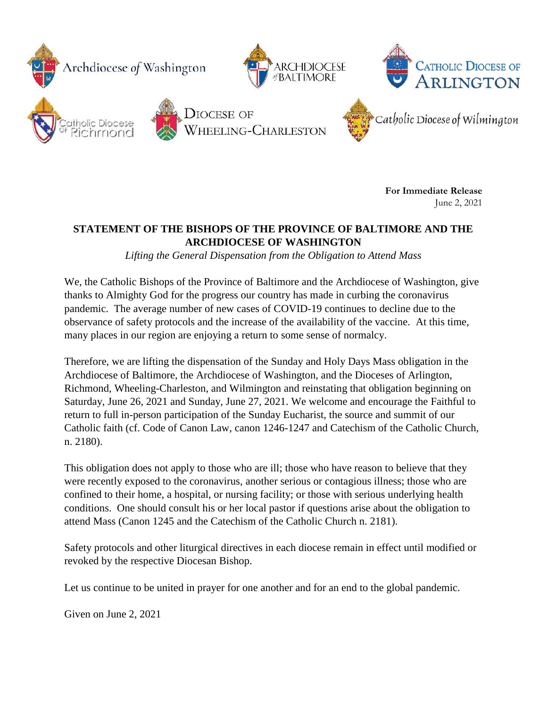

**For Immediate Release** June 2, 2021

## **STATEMENT OF THE BISHOPS OF THE PROVINCE OF BALTIMORE AND THE ARCHDIOCESE OF WASHINGTON**

*Lifting the General Dispensation from the Obligation to Attend Mass*

We, the Catholic Bishops of the Province of Baltimore and the Archdiocese of Washington, give thanks to Almighty God for the progress our country has made in curbing the coronavirus pandemic. The average number of new cases of COVID-19 continues to decline due to the observance of safety protocols and the increase of the availability of the vaccine. At this time, many places in our region are enjoying a return to some sense of normalcy.

Therefore, we are lifting the dispensation of the Sunday and Holy Days Mass obligation in the Archdiocese of Baltimore, the Archdiocese of Washington, and the Dioceses of Arlington, Richmond, Wheeling-Charleston, and Wilmington and reinstating that obligation beginning on Saturday, June 26, 2021 and Sunday, June 27, 2021. We welcome and encourage the Faithful to return to full in-person participation of the Sunday Eucharist, the source and summit of our Catholic faith (cf. Code of Canon Law, canon 1246-1247 and Catechism of the Catholic Church, n. 2180).

This obligation does not apply to those who are ill; those who have reason to believe that they were recently exposed to the coronavirus, another serious or contagious illness; those who are confined to their home, a hospital, or nursing facility; or those with serious underlying health conditions. One should consult his or her local pastor if questions arise about the obligation to attend Mass (Canon 1245 and the Catechism of the Catholic Church n. 2181).

Safety protocols and other liturgical directives in each diocese remain in effect until modified or revoked by the respective Diocesan Bishop.

Let us continue to be united in prayer for one another and for an end to the global pandemic.

Given on June 2, 2021